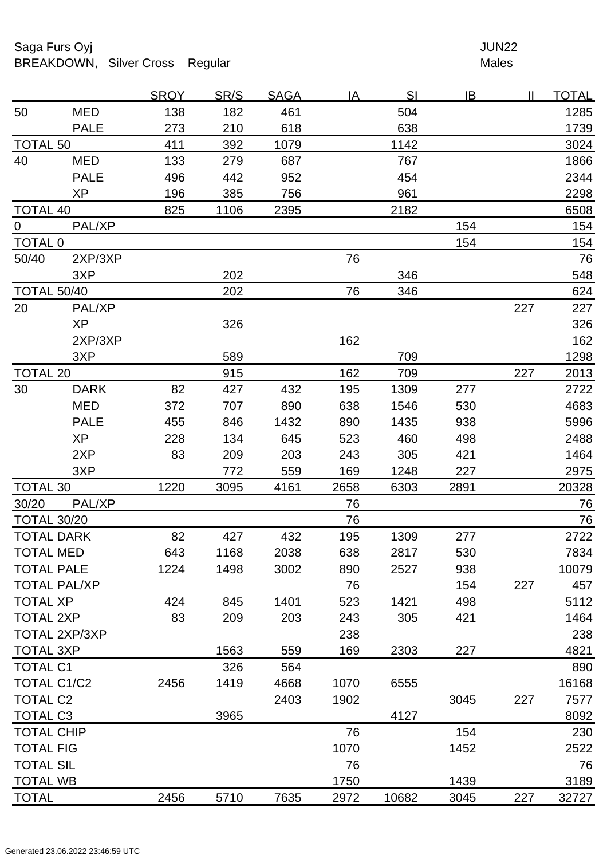## Saga Furs Oyj and the Saga Furs Oyj and the Saga Furs of the Saga Furs of the Saga Furs of the Saga Furs of the Saga Furs of the Saga Furs of the Saga Furs of the Saga Furs of the Saga Furs of the Saga Furs of the Saga Fur BREAKDOWN, Silver Cross Regular Males

| 138<br>182<br>461<br>50<br><b>MED</b><br>504<br>273<br>210<br>618<br>638<br><b>PALE</b><br><b>TOTAL 50</b><br>411<br>1142<br>392<br>1079<br>40<br><b>MED</b><br>133<br>279<br>687<br>767<br><b>PALE</b><br>496<br>442<br>952<br>454<br><b>XP</b><br>196<br>385<br>756<br>961<br>1106<br>2182<br><b>TOTAL 40</b><br>825<br>2395<br>PAL/XP<br>154<br>$\overline{0}$<br><b>TOTAL 0</b><br>154<br>50/40<br>2XP/3XP<br>76<br>202<br>3XP<br>346<br><b>TOTAL 50/40</b><br>202<br>76<br>346<br>20<br>227<br>PAL/XP<br><b>XP</b><br>326<br>162<br>2XP/3XP<br>589<br>3XP<br>709<br><b>TOTAL 20</b><br>162<br>227<br>915<br>709<br>82<br>432<br>30<br><b>DARK</b><br>195<br>277<br>427<br>1309 | 1285<br>1739<br>3024<br>1866<br>2344<br>2298<br>6508<br>154<br>154<br>76<br>548 |
|-------------------------------------------------------------------------------------------------------------------------------------------------------------------------------------------------------------------------------------------------------------------------------------------------------------------------------------------------------------------------------------------------------------------------------------------------------------------------------------------------------------------------------------------------------------------------------------------------------------------------------------------------------------------------------------|---------------------------------------------------------------------------------|
|                                                                                                                                                                                                                                                                                                                                                                                                                                                                                                                                                                                                                                                                                     |                                                                                 |
|                                                                                                                                                                                                                                                                                                                                                                                                                                                                                                                                                                                                                                                                                     |                                                                                 |
|                                                                                                                                                                                                                                                                                                                                                                                                                                                                                                                                                                                                                                                                                     |                                                                                 |
|                                                                                                                                                                                                                                                                                                                                                                                                                                                                                                                                                                                                                                                                                     |                                                                                 |
|                                                                                                                                                                                                                                                                                                                                                                                                                                                                                                                                                                                                                                                                                     |                                                                                 |
|                                                                                                                                                                                                                                                                                                                                                                                                                                                                                                                                                                                                                                                                                     |                                                                                 |
|                                                                                                                                                                                                                                                                                                                                                                                                                                                                                                                                                                                                                                                                                     |                                                                                 |
|                                                                                                                                                                                                                                                                                                                                                                                                                                                                                                                                                                                                                                                                                     |                                                                                 |
|                                                                                                                                                                                                                                                                                                                                                                                                                                                                                                                                                                                                                                                                                     |                                                                                 |
|                                                                                                                                                                                                                                                                                                                                                                                                                                                                                                                                                                                                                                                                                     |                                                                                 |
|                                                                                                                                                                                                                                                                                                                                                                                                                                                                                                                                                                                                                                                                                     |                                                                                 |
|                                                                                                                                                                                                                                                                                                                                                                                                                                                                                                                                                                                                                                                                                     | 624                                                                             |
|                                                                                                                                                                                                                                                                                                                                                                                                                                                                                                                                                                                                                                                                                     | 227                                                                             |
|                                                                                                                                                                                                                                                                                                                                                                                                                                                                                                                                                                                                                                                                                     | 326                                                                             |
|                                                                                                                                                                                                                                                                                                                                                                                                                                                                                                                                                                                                                                                                                     | 162                                                                             |
|                                                                                                                                                                                                                                                                                                                                                                                                                                                                                                                                                                                                                                                                                     | 1298                                                                            |
|                                                                                                                                                                                                                                                                                                                                                                                                                                                                                                                                                                                                                                                                                     | 2013                                                                            |
|                                                                                                                                                                                                                                                                                                                                                                                                                                                                                                                                                                                                                                                                                     | 2722                                                                            |
| 890<br><b>MED</b><br>372<br>707<br>638<br>530<br>1546                                                                                                                                                                                                                                                                                                                                                                                                                                                                                                                                                                                                                               | 4683                                                                            |
| 890<br><b>PALE</b><br>455<br>846<br>1432<br>1435<br>938                                                                                                                                                                                                                                                                                                                                                                                                                                                                                                                                                                                                                             | 5996                                                                            |
| <b>XP</b><br>228<br>134<br>645<br>523<br>498<br>460                                                                                                                                                                                                                                                                                                                                                                                                                                                                                                                                                                                                                                 | 2488                                                                            |
| 2XP<br>83<br>209<br>203<br>243<br>305<br>421                                                                                                                                                                                                                                                                                                                                                                                                                                                                                                                                                                                                                                        | 1464                                                                            |
| 772<br>169<br>227<br>3XP<br>559<br>1248                                                                                                                                                                                                                                                                                                                                                                                                                                                                                                                                                                                                                                             | 2975                                                                            |
| <b>TOTAL 30</b><br>1220<br>2658<br>3095<br>4161<br>2891<br>6303                                                                                                                                                                                                                                                                                                                                                                                                                                                                                                                                                                                                                     | 20328                                                                           |
| 30/20<br>PAL/XP<br>76                                                                                                                                                                                                                                                                                                                                                                                                                                                                                                                                                                                                                                                               | 76                                                                              |
| <b>TOTAL 30/20</b><br>76                                                                                                                                                                                                                                                                                                                                                                                                                                                                                                                                                                                                                                                            | <b>76</b>                                                                       |
| <b>TOTAL DARK</b><br>82<br>427<br>432<br>1309<br>195<br>277                                                                                                                                                                                                                                                                                                                                                                                                                                                                                                                                                                                                                         | 2722                                                                            |
| TOTAL MED<br>643<br>1168<br>2038<br>638<br>2817<br>530                                                                                                                                                                                                                                                                                                                                                                                                                                                                                                                                                                                                                              | 7834                                                                            |
| <b>TOTAL PALE</b><br>1498<br>1224<br>3002<br>890<br>2527<br>938                                                                                                                                                                                                                                                                                                                                                                                                                                                                                                                                                                                                                     | 10079                                                                           |
| 227<br><b>TOTAL PAL/XP</b><br>76<br>154                                                                                                                                                                                                                                                                                                                                                                                                                                                                                                                                                                                                                                             | 457                                                                             |
| <b>TOTAL XP</b><br>1401<br>523<br>1421<br>498<br>424<br>845                                                                                                                                                                                                                                                                                                                                                                                                                                                                                                                                                                                                                         | 5112                                                                            |
| <b>TOTAL 2XP</b><br>83<br>209<br>203<br>421<br>243<br>305                                                                                                                                                                                                                                                                                                                                                                                                                                                                                                                                                                                                                           | 1464                                                                            |
| TOTAL 2XP/3XP<br>238                                                                                                                                                                                                                                                                                                                                                                                                                                                                                                                                                                                                                                                                | 238                                                                             |
| 1563<br>227<br><b>TOTAL 3XP</b><br>559<br>169<br>2303                                                                                                                                                                                                                                                                                                                                                                                                                                                                                                                                                                                                                               | 4821                                                                            |
| 326<br><b>TOTAL C1</b><br>564                                                                                                                                                                                                                                                                                                                                                                                                                                                                                                                                                                                                                                                       | 890                                                                             |
| <b>TOTAL C1/C2</b><br>2456<br>1419<br>1070<br>4668<br>6555                                                                                                                                                                                                                                                                                                                                                                                                                                                                                                                                                                                                                          | 16168                                                                           |
| <b>TOTAL C2</b><br>2403<br>1902<br>227<br>3045                                                                                                                                                                                                                                                                                                                                                                                                                                                                                                                                                                                                                                      | 7577                                                                            |
| <b>TOTAL C3</b><br>3965<br>4127                                                                                                                                                                                                                                                                                                                                                                                                                                                                                                                                                                                                                                                     | 8092                                                                            |
| 76<br>154<br><b>TOTAL CHIP</b>                                                                                                                                                                                                                                                                                                                                                                                                                                                                                                                                                                                                                                                      |                                                                                 |
| <b>TOTAL FIG</b><br>1070<br>1452                                                                                                                                                                                                                                                                                                                                                                                                                                                                                                                                                                                                                                                    | 230                                                                             |
| <b>TOTAL SIL</b><br>76                                                                                                                                                                                                                                                                                                                                                                                                                                                                                                                                                                                                                                                              | 2522                                                                            |
| 1439<br><b>TOTAL WB</b><br>1750                                                                                                                                                                                                                                                                                                                                                                                                                                                                                                                                                                                                                                                     | 76                                                                              |
| 2456<br>5710<br>32727<br><b>TOTAL</b><br>7635<br>2972<br>10682<br>3045<br>227                                                                                                                                                                                                                                                                                                                                                                                                                                                                                                                                                                                                       | 3189                                                                            |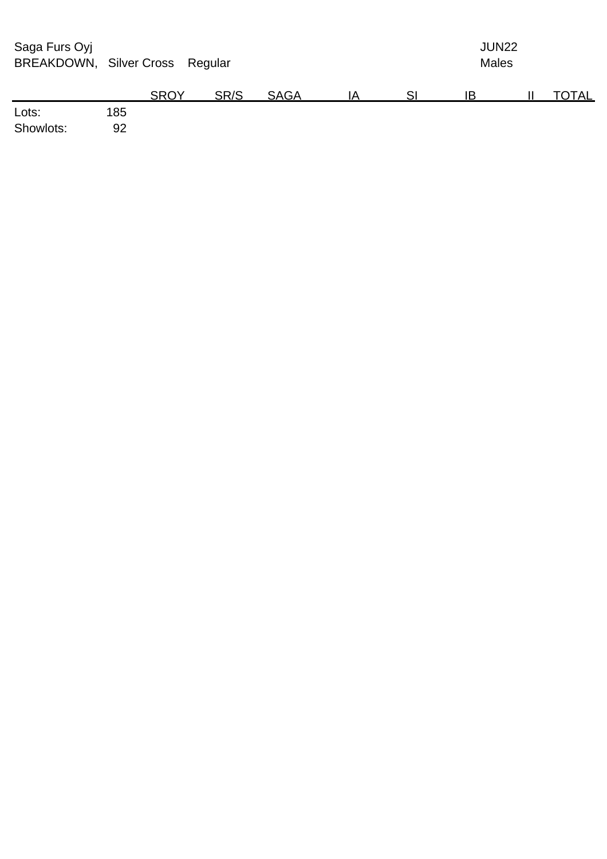| Saga Furs Oyj<br>BREAKDOWN, Silver Cross Regular |     |             |      |             |    | JUN22<br><b>Males</b> |    |  |       |  |
|--------------------------------------------------|-----|-------------|------|-------------|----|-----------------------|----|--|-------|--|
|                                                  |     | <b>SROY</b> | SR/S | <b>SAGA</b> | ΙA | SI                    | IB |  | TOTAL |  |
| Lots:                                            | 185 |             |      |             |    |                       |    |  |       |  |
| Showlots:                                        | 92  |             |      |             |    |                       |    |  |       |  |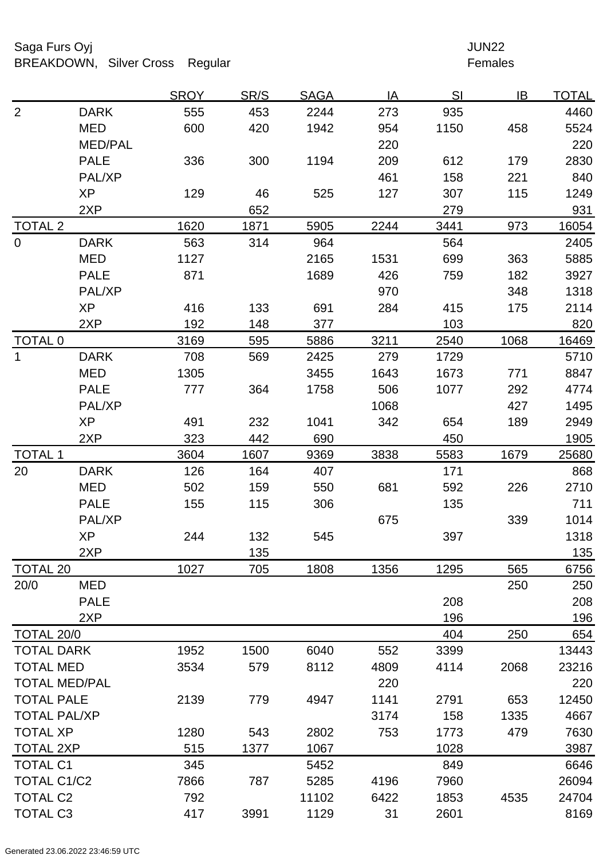# Saga Furs Oyj and the Saga Furs Oyj and the Saga Furs of the Saga Furs of the Saga Furs of the Saga Furs of the Saga Furs of the Saga Furs of the Saga Furs of the Saga Furs of the Saga Furs of the Saga Furs of the Saga Fur BREAKDOWN, Silver Cross Regular Females

|                     |                      | <b>SROY</b> | SR/S | <b>SAGA</b> | IA   | SI   | IB   | <u>TOTAL</u> |
|---------------------|----------------------|-------------|------|-------------|------|------|------|--------------|
| $\overline{2}$      | <b>DARK</b>          | 555         | 453  | 2244        | 273  | 935  |      | 4460         |
|                     | <b>MED</b>           | 600         | 420  | 1942        | 954  | 1150 | 458  | 5524         |
|                     | <b>MED/PAL</b>       |             |      |             | 220  |      |      | 220          |
|                     | <b>PALE</b>          | 336         | 300  | 1194        | 209  | 612  | 179  | 2830         |
|                     | PAL/XP               |             |      |             | 461  | 158  | 221  | 840          |
|                     | <b>XP</b>            | 129         | 46   | 525         | 127  | 307  | 115  | 1249         |
|                     | 2XP                  |             | 652  |             |      | 279  |      | 931          |
| <b>TOTAL 2</b>      |                      | 1620        | 1871 | 5905        | 2244 | 3441 | 973  | 16054        |
| $\overline{0}$      | <b>DARK</b>          | 563         | 314  | 964         |      | 564  |      | 2405         |
|                     | <b>MED</b>           | 1127        |      | 2165        | 1531 | 699  | 363  | 5885         |
|                     | <b>PALE</b>          | 871         |      | 1689        | 426  | 759  | 182  | 3927         |
|                     | PAL/XP               |             |      |             | 970  |      | 348  | 1318         |
|                     | <b>XP</b>            | 416         | 133  | 691         | 284  | 415  | 175  | 2114         |
|                     | 2XP                  | 192         | 148  | 377         |      | 103  |      | 820          |
| <b>TOTAL 0</b>      |                      | 3169        | 595  | 5886        | 3211 | 2540 | 1068 | 16469        |
| 1                   | <b>DARK</b>          | 708         | 569  | 2425        | 279  | 1729 |      | 5710         |
|                     | <b>MED</b>           | 1305        |      | 3455        | 1643 | 1673 | 771  | 8847         |
|                     | <b>PALE</b>          | 777         | 364  | 1758        | 506  | 1077 | 292  | 4774         |
|                     | PAL/XP               |             |      |             | 1068 |      | 427  | 1495         |
|                     | <b>XP</b>            | 491         | 232  | 1041        | 342  | 654  | 189  | 2949         |
|                     | 2XP                  | 323         | 442  | 690         |      | 450  |      | 1905         |
| <b>TOTAL 1</b>      |                      | 3604        | 1607 | 9369        | 3838 | 5583 | 1679 | 25680        |
| 20                  | <b>DARK</b>          | 126         | 164  | 407         |      | 171  |      | 868          |
|                     | <b>MED</b>           | 502         | 159  | 550         | 681  | 592  | 226  | 2710         |
|                     | <b>PALE</b>          | 155         | 115  | 306         |      | 135  |      | 711          |
|                     | PAL/XP               |             |      |             | 675  |      | 339  | 1014         |
|                     | <b>XP</b>            | 244         | 132  | 545         |      | 397  |      | 1318         |
|                     | 2XP                  |             | 135  |             |      |      |      | 135          |
| <b>TOTAL 20</b>     |                      | 1027        | 705  | 1808        | 1356 | 1295 | 565  | 6756         |
| 20/0                | <b>MED</b>           |             |      |             |      |      | 250  | 250          |
|                     | <b>PALE</b>          |             |      |             |      | 208  |      | 208          |
|                     | 2XP                  |             |      |             |      | 196  |      | 196          |
| TOTAL 20/0          |                      |             |      |             |      | 404  | 250  | 654          |
| <b>TOTAL DARK</b>   |                      | 1952        | 1500 | 6040        | 552  | 3399 |      | 13443        |
| <b>TOTAL MED</b>    |                      | 3534        | 579  | 8112        | 4809 | 4114 | 2068 | 23216        |
|                     | <b>TOTAL MED/PAL</b> |             |      |             | 220  |      |      | 220          |
| <b>TOTAL PALE</b>   |                      | 2139        | 779  | 4947        | 1141 | 2791 | 653  | 12450        |
| <b>TOTAL PAL/XP</b> |                      |             |      |             | 3174 | 158  | 1335 | 4667         |
| <b>TOTAL XP</b>     |                      | 1280        | 543  | 2802        | 753  | 1773 | 479  | 7630         |
| <b>TOTAL 2XP</b>    |                      | 515         | 1377 | 1067        |      | 1028 |      | 3987         |
| <b>TOTAL C1</b>     |                      | 345         |      | 5452        |      | 849  |      | 6646         |
| TOTAL C1/C2         |                      | 7866        | 787  | 5285        | 4196 | 7960 |      | 26094        |
| <b>TOTAL C2</b>     |                      | 792         |      | 11102       | 6422 | 1853 | 4535 | 24704        |
| <b>TOTAL C3</b>     |                      | 417         | 3991 | 1129        | 31   | 2601 |      | 8169         |
|                     |                      |             |      |             |      |      |      |              |